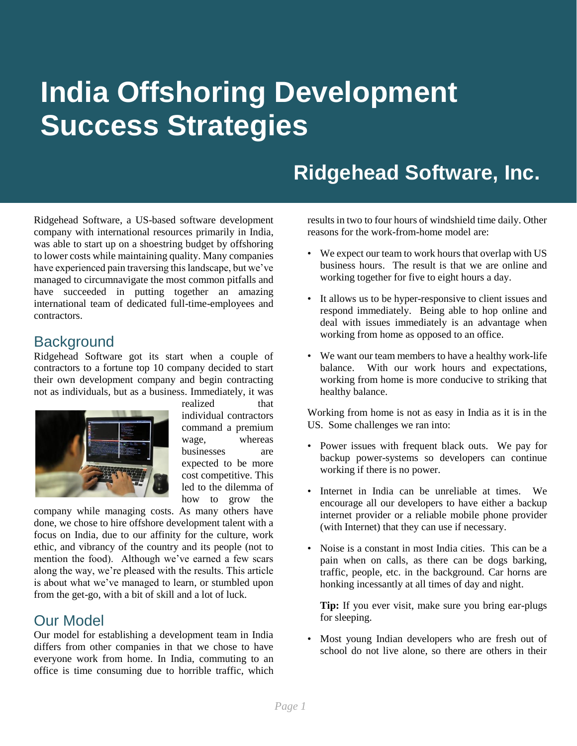# **India Offshoring Development Success Strategies**

# **Ridgehead Software, Inc.**

Ridgehead Software, a US-based software development company with international resources primarily in India, was able to start up on a shoestring budget by offshoring to lower costs while maintaining quality. Many companies have experienced pain traversing this landscape, but we've managed to circumnavigate the most common pitfalls and have succeeded in putting together an amazing international team of dedicated full-time-employees and contractors.

#### **Background**

Ridgehead Software got its start when a couple of contractors to a fortune top 10 company decided to start their own development company and begin contracting not as individuals, but as a business. Immediately, it was



realized that individual contractors command a premium wage, whereas businesses are expected to be more cost competitive. This led to the dilemma of how to grow the

company while managing costs. As many others have done, we chose to hire offshore development talent with a focus on India, due to our affinity for the culture, work ethic, and vibrancy of the country and its people (not to mention the food). Although we've earned a few scars along the way, we're pleased with the results. This article is about what we've managed to learn, or stumbled upon from the get-go, with a bit of skill and a lot of luck.

#### Our Model

Our model for establishing a development team in India differs from other companies in that we chose to have everyone work from home. In India, commuting to an office is time consuming due to horrible traffic, which results in two to four hours of windshield time daily. Other reasons for the work-from-home model are:

- We expect our team to work hours that overlap with US business hours. The result is that we are online and working together for five to eight hours a day.
- It allows us to be hyper-responsive to client issues and respond immediately. Being able to hop online and deal with issues immediately is an advantage when working from home as opposed to an office.
- We want our team members to have a healthy work-life balance. With our work hours and expectations, working from home is more conducive to striking that healthy balance.

Working from home is not as easy in India as it is in the US. Some challenges we ran into:

- Power issues with frequent black outs. We pay for backup power-systems so developers can continue working if there is no power.
- Internet in India can be unreliable at times. We encourage all our developers to have either a backup internet provider or a reliable mobile phone provider (with Internet) that they can use if necessary.
- Noise is a constant in most India cities. This can be a pain when on calls, as there can be dogs barking, traffic, people, etc. in the background. Car horns are honking incessantly at all times of day and night.

**Tip:** If you ever visit, make sure you bring ear-plugs for sleeping.

• Most young Indian developers who are fresh out of school do not live alone, so there are others in their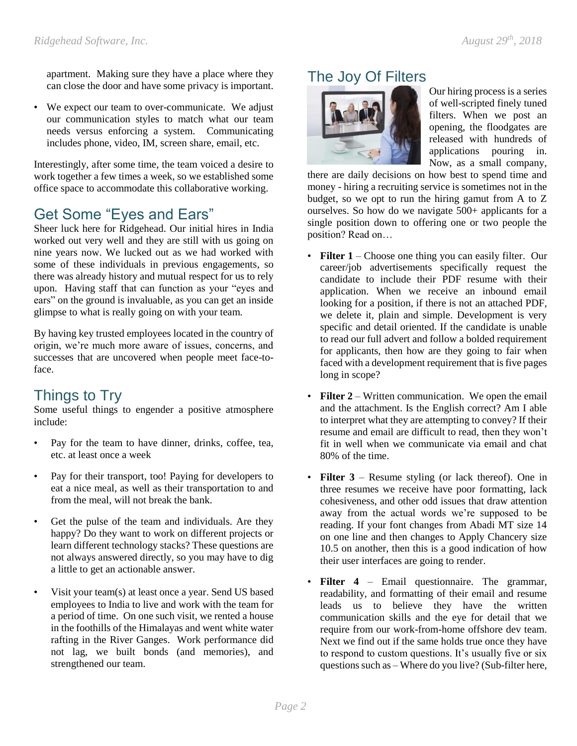apartment. Making sure they have a place where they can close the door and have some privacy is important.

• We expect our team to over-communicate. We adjust our communication styles to match what our team needs versus enforcing a system. Communicating includes phone, video, IM, screen share, email, etc.

Interestingly, after some time, the team voiced a desire to work together a few times a week, so we established some office space to accommodate this collaborative working.

# Get Some "Eyes and Ears"

Sheer luck here for Ridgehead. Our initial hires in India worked out very well and they are still with us going on nine years now. We lucked out as we had worked with some of these individuals in previous engagements, so there was already history and mutual respect for us to rely upon. Having staff that can function as your "eyes and ears" on the ground is invaluable, as you can get an inside glimpse to what is really going on with your team.

By having key trusted employees located in the country of origin, we're much more aware of issues, concerns, and successes that are uncovered when people meet face-toface.

# Things to Try

Some useful things to engender a positive atmosphere include:

- Pay for the team to have dinner, drinks, coffee, tea, etc. at least once a week
- Pay for their transport, too! Paying for developers to eat a nice meal, as well as their transportation to and from the meal, will not break the bank.
- Get the pulse of the team and individuals. Are they happy? Do they want to work on different projects or learn different technology stacks? These questions are not always answered directly, so you may have to dig a little to get an actionable answer.
- Visit your team(s) at least once a year. Send US based employees to India to live and work with the team for a period of time. On one such visit, we rented a house in the foothills of the Himalayas and went white water rafting in the River Ganges. Work performance did not lag, we built bonds (and memories), and strengthened our team.

## The Joy Of Filters



Our hiring process is a series of well-scripted finely tuned filters. When we post an opening, the floodgates are released with hundreds of applications pouring in. Now, as a small company,

there are daily decisions on how best to spend time and money - hiring a recruiting service is sometimes not in the budget, so we opt to run the hiring gamut from A to Z ourselves. So how do we navigate 500+ applicants for a single position down to offering one or two people the position? Read on…

- **Filter 1** Choose one thing you can easily filter. Our career/job advertisements specifically request the candidate to include their PDF resume with their application. When we receive an inbound email looking for a position, if there is not an attached PDF, we delete it, plain and simple. Development is very specific and detail oriented. If the candidate is unable to read our full advert and follow a bolded requirement for applicants, then how are they going to fair when faced with a development requirement that is five pages long in scope?
- **Filter 2** Written communication. We open the email and the attachment. Is the English correct? Am I able to interpret what they are attempting to convey? If their resume and email are difficult to read, then they won't fit in well when we communicate via email and chat 80% of the time.
- **Filter 3** Resume styling (or lack thereof). One in three resumes we receive have poor formatting, lack cohesiveness, and other odd issues that draw attention away from the actual words we're supposed to be reading. If your font changes from Abadi MT size 14 on one line and then changes to Apply Chancery size 10.5 on another, then this is a good indication of how their user interfaces are going to render.
- **Filter 4** Email questionnaire. The grammar, readability, and formatting of their email and resume leads us to believe they have the written communication skills and the eye for detail that we require from our work-from-home offshore dev team. Next we find out if the same holds true once they have to respond to custom questions. It's usually five or six questions such as – Where do you live? (Sub-filter here,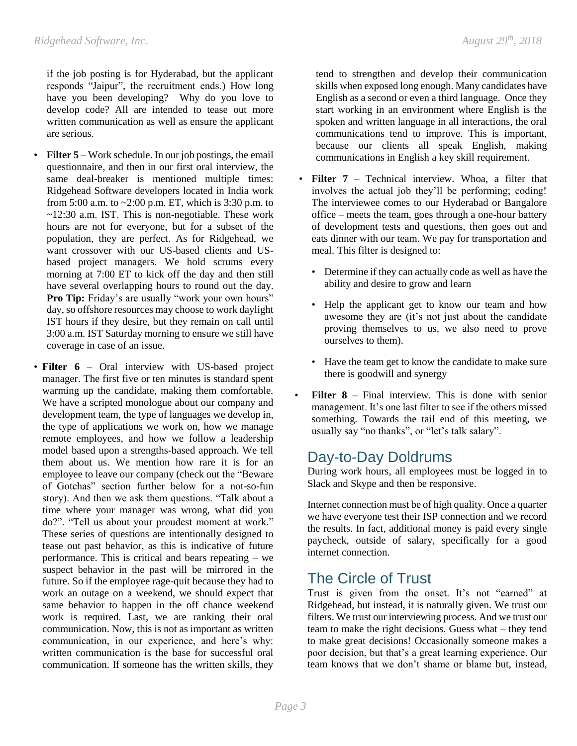if the job posting is for Hyderabad, but the applicant responds "Jaipur", the recruitment ends.) How long have you been developing? Why do you love to develop code? All are intended to tease out more written communication as well as ensure the applicant are serious.

- **Filter 5** Work schedule. In our job postings, the email questionnaire, and then in our first oral interview, the same deal-breaker is mentioned multiple times: Ridgehead Software developers located in India work from 5:00 a.m. to  $\sim$ 2:00 p.m. ET, which is 3:30 p.m. to ~12:30 a.m. IST. This is non-negotiable. These work hours are not for everyone, but for a subset of the population, they are perfect. As for Ridgehead, we want crossover with our US-based clients and USbased project managers. We hold scrums every morning at 7:00 ET to kick off the day and then still have several overlapping hours to round out the day. Pro Tip: Friday's are usually "work your own hours" day, so offshore resources may choose to work daylight IST hours if they desire, but they remain on call until 3:00 a.m. IST Saturday morning to ensure we still have coverage in case of an issue.
- **Filter 6** Oral interview with US-based project manager. The first five or ten minutes is standard spent warming up the candidate, making them comfortable. We have a scripted monologue about our company and development team, the type of languages we develop in, the type of applications we work on, how we manage remote employees, and how we follow a leadership model based upon a strengths-based approach. We tell them about us. We mention how rare it is for an employee to leave our company (check out the "Beware of Gotchas" section further below for a not-so-fun story). And then we ask them questions. "Talk about a time where your manager was wrong, what did you do?". "Tell us about your proudest moment at work." These series of questions are intentionally designed to tease out past behavior, as this is indicative of future performance. This is critical and bears repeating – we suspect behavior in the past will be mirrored in the future. So if the employee rage-quit because they had to work an outage on a weekend, we should expect that same behavior to happen in the off chance weekend work is required. Last, we are ranking their oral communication. Now, this is not as important as written communication, in our experience, and here's why: written communication is the base for successful oral communication. If someone has the written skills, they

tend to strengthen and develop their communication skills when exposed long enough. Many candidates have English as a second or even a third language. Once they start working in an environment where English is the spoken and written language in all interactions, the oral communications tend to improve. This is important, because our clients all speak English, making communications in English a key skill requirement.

- **Filter 7** Technical interview. Whoa, a filter that involves the actual job they'll be performing; coding! The interviewee comes to our Hyderabad or Bangalore office – meets the team, goes through a one-hour battery of development tests and questions, then goes out and eats dinner with our team. We pay for transportation and meal. This filter is designed to:
	- Determine if they can actually code as well as have the ability and desire to grow and learn
	- Help the applicant get to know our team and how awesome they are (it's not just about the candidate proving themselves to us, we also need to prove ourselves to them).
	- Have the team get to know the candidate to make sure there is goodwill and synergy
- **Filter 8** Final interview. This is done with senior management. It's one last filter to see if the others missed something. Towards the tail end of this meeting, we usually say "no thanks", or "let's talk salary".

#### Day-to-Day Doldrums

During work hours, all employees must be logged in to Slack and Skype and then be responsive.

Internet connection must be of high quality. Once a quarter we have everyone test their ISP connection and we record the results. In fact, additional money is paid every single paycheck, outside of salary, specifically for a good internet connection.

# The Circle of Trust

Trust is given from the onset. It's not "earned" at Ridgehead, but instead, it is naturally given. We trust our filters. We trust our interviewing process. And we trust our team to make the right decisions. Guess what – they tend to make great decisions! Occasionally someone makes a poor decision, but that's a great learning experience. Our team knows that we don't shame or blame but, instead,